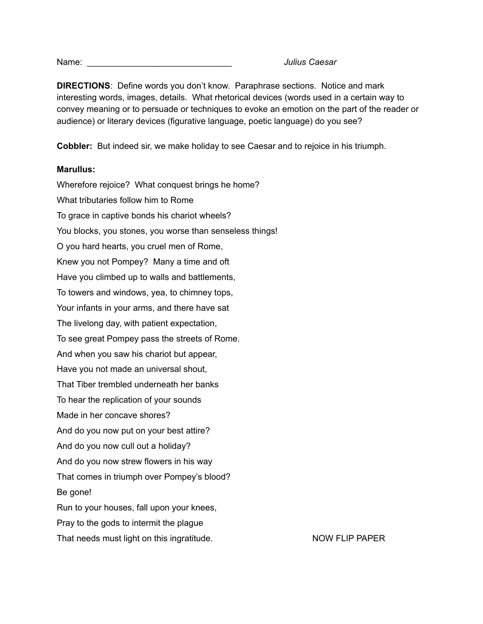Name: \_\_\_\_\_\_\_\_\_\_\_\_\_\_\_\_\_\_\_\_\_\_\_\_\_\_\_\_\_\_ *Julius Caesar*

**DIRECTIONS**: Define words you don't know. Paraphrase sections. Notice and mark interesting words, images, details. What rhetorical devices (words used in a certain way to convey meaning or to persuade or techniques to evoke an emotion on the part of the reader or audience) or literary devices (figurative language, poetic language) do you see?

**Cobbler:** But indeed sir, we make holiday to see Caesar and to rejoice in his triumph.

## **Marullus:**

Wherefore rejoice? What conquest brings he home? What tributaries follow him to Rome To grace in captive bonds his chariot wheels? You blocks, you stones, you worse than senseless things! O you hard hearts, you cruel men of Rome, Knew you not Pompey? Many a time and oft Have you climbed up to walls and battlements, To towers and windows, yea, to chimney tops, Your infants in your arms, and there have sat The livelong day, with patient expectation, To see great Pompey pass the streets of Rome. And when you saw his chariot but appear, Have you not made an universal shout, That Tiber trembled underneath her banks To hear the replication of your sounds Made in her concave shores? And do you now put on your best attire? And do you now cull out a holiday? And do you now strew flowers in his way That comes in triumph over Pompey's blood? Be gone! Run to your houses, fall upon your knees, Pray to the gods to intermit the plague That needs must light on this ingratitude. NOW FLIP PAPER